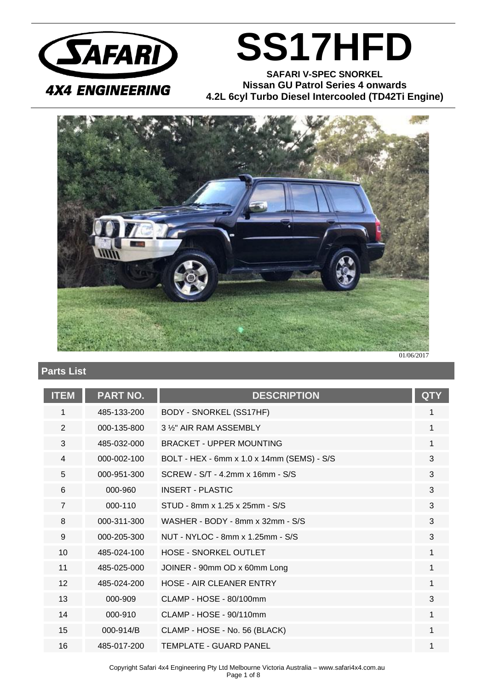

## **SS17HFD**

**SAFARI V-SPEC SNORKEL Nissan GU Patrol Series 4 onwards 4.2L 6cyl Turbo Diesel Intercooled (TD42Ti Engine)**



### **Parts List**

| <b>ITEM</b>    | <b>PART NO.</b> | <b>DESCRIPTION</b>                         | <b>QTY</b> |
|----------------|-----------------|--------------------------------------------|------------|
| 1              | 485-133-200     | BODY - SNORKEL (SS17HF)                    | 1          |
| $\overline{2}$ | 000-135-800     | 3 %" AIR RAM ASSEMBLY                      | 1          |
| 3              | 485-032-000     | <b>BRACKET - UPPER MOUNTING</b>            | 1          |
| 4              | 000-002-100     | BOLT - HEX - 6mm x 1.0 x 14mm (SEMS) - S/S | 3          |
| 5              | 000-951-300     | SCREW - S/T - 4.2mm x 16mm - S/S           | 3          |
| 6              | 000-960         | <b>INSERT - PLASTIC</b>                    | 3          |
| $\overline{7}$ | 000-110         | STUD - 8mm x 1.25 x 25mm - S/S             | 3          |
| 8              | 000-311-300     | WASHER - BODY - 8mm x 32mm - S/S           | 3          |
| 9              | 000-205-300     | NUT - NYLOC - 8mm x 1.25mm - S/S           | 3          |
| 10             | 485-024-100     | <b>HOSE - SNORKEL OUTLET</b>               | 1          |
| 11             | 485-025-000     | JOINER - 90mm OD x 60mm Long               | 1          |
| 12             | 485-024-200     | HOSE - AIR CLEANER ENTRY                   | 1          |
| 13             | 000-909         | $CLAMP - HOSE - 80/100mm$                  | 3          |
| 14             | 000-910         | CLAMP - HOSE - 90/110mm                    | 1          |
| 15             | 000-914/B       | CLAMP - HOSE - No. 56 (BLACK)              | 1          |
| 16             | 485-017-200     | TEMPLATE - GUARD PANEL                     | 1          |

Copyright Safari 4x4 Engineering Pty Ltd Melbourne Victoria Australia – www.safari4x4.com.au Page 1 of 8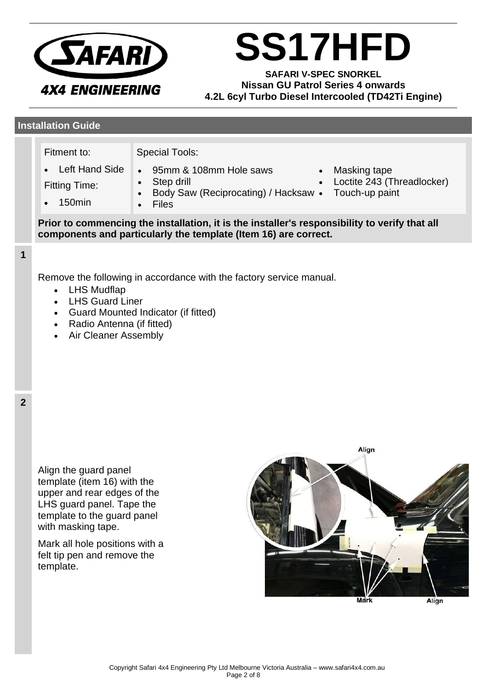

# **SS17HFD**

**SAFARI V-SPEC SNORKEL Nissan GU Patrol Series 4 onwards 4.2L 6cyl Turbo Diesel Intercooled (TD42Ti Engine)**

#### **Installation Guide**

Fitment to:

• Left Hand Side

Special Tools:

- 95mm & 108mm Hole saws
- Fitting Time:
- Step drill
- 150min
- Body Saw (Reciprocating) / Hacksaw • Files
- Masking tape
- Loctite 243 (Threadlocker)
	- Touch-up paint

**Prior to commencing the installation, it is the installer's responsibility to verify that all components and particularly the template (Item 16) are correct.**

#### **1**

Remove the following in accordance with the factory service manual.

- LHS Mudflap
- LHS Guard Liner
- Guard Mounted Indicator (if fitted)
- Radio Antenna (if fitted)
- Air Cleaner Assembly

Align the guard panel template (item 16) with the upper and rear edges of the LHS guard panel. Tape the template to the guard panel with masking tape.

Mark all hole positions with a felt tip pen and remove the template.

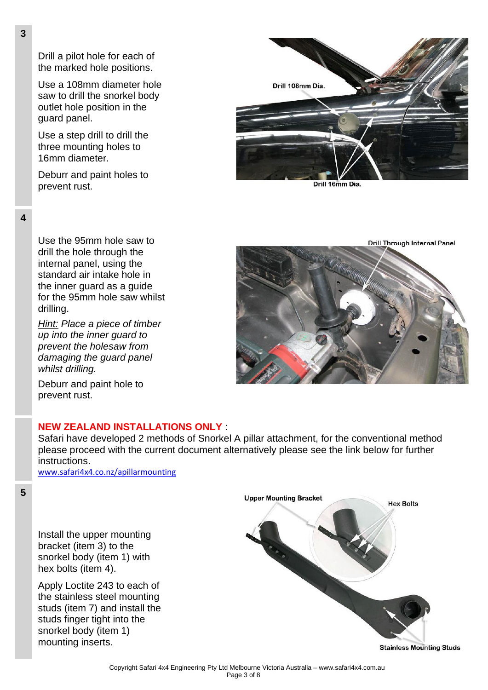Drill a pilot hole for each of the marked hole positions.

Use a 108mm diameter hole saw to drill the snorkel body outlet hole position in the guard panel.

Use a step drill to drill the three mounting holes to 16mm diameter.

Deburr and paint holes to prevent rust.



Drill 16mm Dia.

**4**

Use the 95mm hole saw to drill the hole through the internal panel, using the standard air intake hole in the inner guard as a guide for the 95mm hole saw whilst drilling.

*Hint: Place a piece of timber up into the inner guard to prevent the holesaw from damaging the guard panel whilst drilling.*

Deburr and paint hole to prevent rust.



#### **NEW ZEALAND INSTALLATIONS ONLY** :

Safari have developed 2 methods of Snorkel A pillar attachment, for the conventional method please proceed with the current document alternatively please see the link below for further instructions.

[www.safari4x4.co.nz/apillarmounting](http://www.safari4x4.co.nz/apillarmounting)

**5**

Install the upper mounting bracket (item 3) to the snorkel body (item 1) with hex bolts (item 4).

Apply Loctite 243 to each of the stainless steel mounting studs (item 7) and install the studs finger tight into the snorkel body (item 1) mounting inserts.



**Stainless Mounting Studs**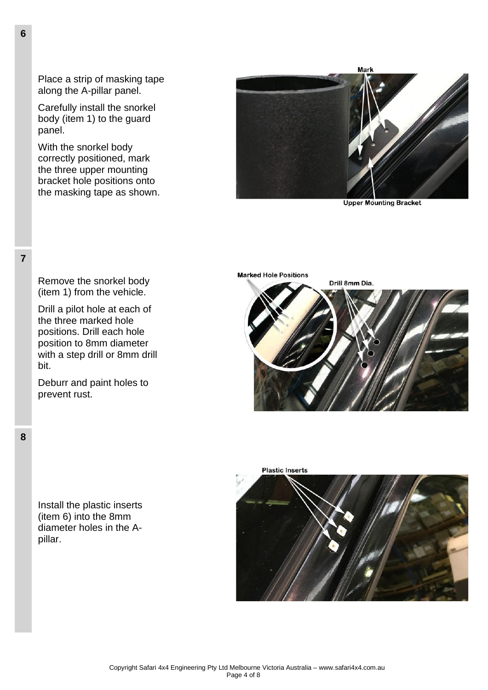Place a strip of masking tape along the A-pillar panel.

Carefully install the snorkel body (item 1) to the guard panel.

With the snorkel body correctly positioned, mark the three upper mounting bracket hole positions onto the masking tape as shown.

Remove the snorkel body (item 1) from the vehicle.

Drill a pilot hole at each of the three marked hole positions. Drill each hole position to 8mm diameter with a step drill or 8mm drill

Deburr and paint holes to



**Upper Mounting Bracket** 





prevent rust.

Install the plastic inserts (item 6) into the 8mm diameter holes in the Apillar.



**6**

**7**

bit.

**8**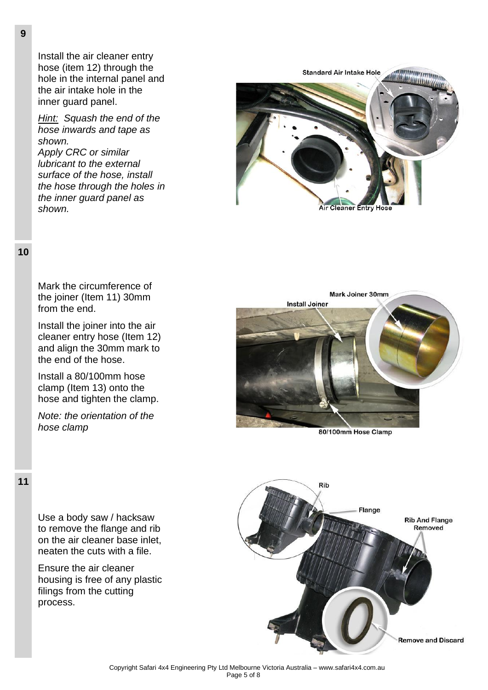Install the air cleaner entry hose (item 12) through the hole in the internal panel and the air intake hole in the inner guard panel.

*Hint: Squash the end of the hose inwards and tape as shown.*

*Apply CRC or similar lubricant to the external surface of the hose, install the hose through the holes in the inner guard panel as shown.*



**10**

Mark the circumference of the joiner (Item 11) 30mm from the end.

Install the joiner into the air cleaner entry hose (Item 12) and align the 30mm mark to the end of the hose.

Install a 80/100mm hose clamp (Item 13) onto the hose and tighten the clamp.

*Note: the orientation of the hose clamp*



80/100mm Hose Clamp



Use a body saw / hacksaw to remove the flange and rib on the air cleaner base inlet, neaten the cuts with a file.

Ensure the air cleaner housing is free of any plastic filings from the cutting process.

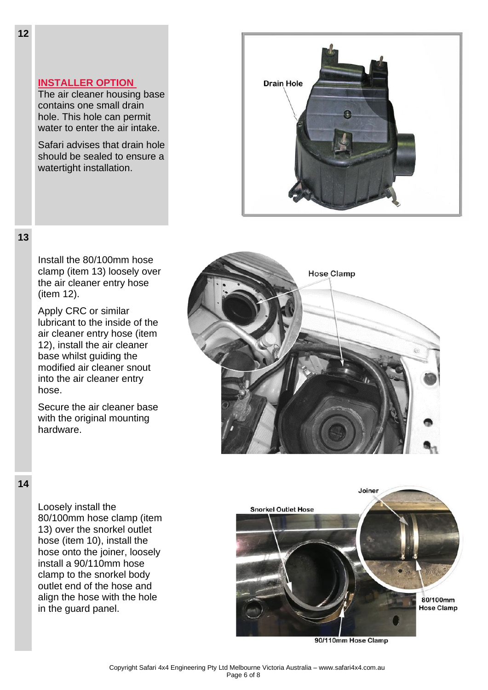#### **INSTALLER OPTION**

The air cleaner housing base contains one small drain hole. This hole can permit water to enter the air intake.

Safari advises that drain hole should be sealed to ensure a watertight installation.



#### **13**

Install the 80/100mm hose clamp (item 13) loosely over the air cleaner entry hose (item 12).

Apply CRC or similar lubricant to the inside of the air cleaner entry hose (item 12), install the air cleaner base whilst guiding the modified air cleaner snout into the air cleaner entry hose.

Secure the air cleaner base with the original mounting hardware.



#### **14**

Loosely install the 80/100mm hose clamp (item 13) over the snorkel outlet hose (item 10), install the hose onto the joiner, loosely install a 90/110mm hose clamp to the snorkel body outlet end of the hose and align the hose with the hole in the guard panel.



90/110mm Hose Clamp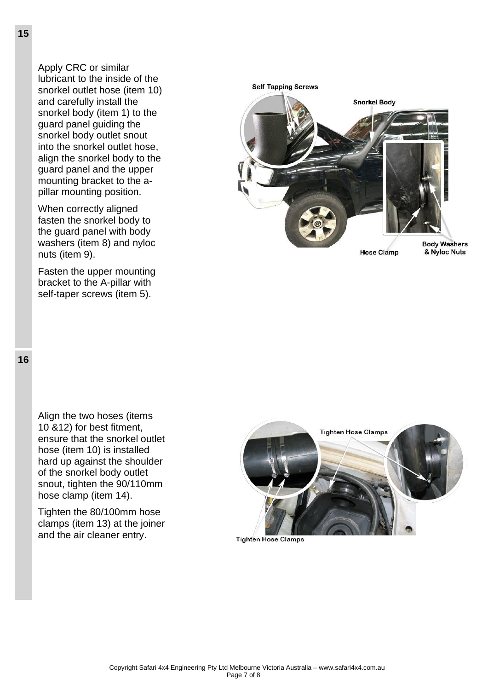Apply CRC or similar lubricant to the inside of the snorkel outlet hose (item 10) and carefully install the snorkel body (item 1) to the guard panel guiding the snorkel body outlet snout into the snorkel outlet hose, align the snorkel body to the guard panel and the upper mounting bracket to the apillar mounting position.

When correctly aligned fasten the snorkel body to the guard panel with body washers (item 8) and nyloc nuts (item 9).

Fasten the upper mounting bracket to the A-pillar with self-taper screws (item 5).



Align the two hoses (items 10 &12) for best fitment, ensure that the snorkel outlet hose (item 10) is installed hard up against the shoulder of the snorkel body outlet snout, tighten the 90/110mm hose clamp (item 14).

Tighten the 80/100mm hose clamps (item 13) at the joiner and the air cleaner entry.



**Tighten Hose Clamps**